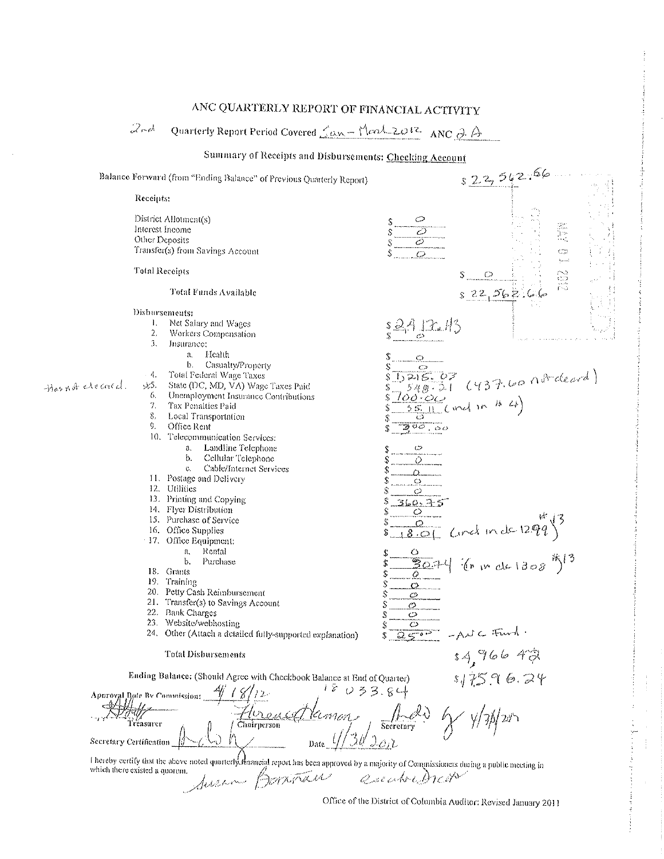## ANC QUARTERLY REPORT OF FINANCIAL ACTIVITY

Quarterly Report Period Covered <u>Can - Mary 2012</u> ANC 2 A  $2rd$ 

## Summary of Receipts and Disbursements: Checking Account



Office of the District of Columbia Auditor: Revised January 2011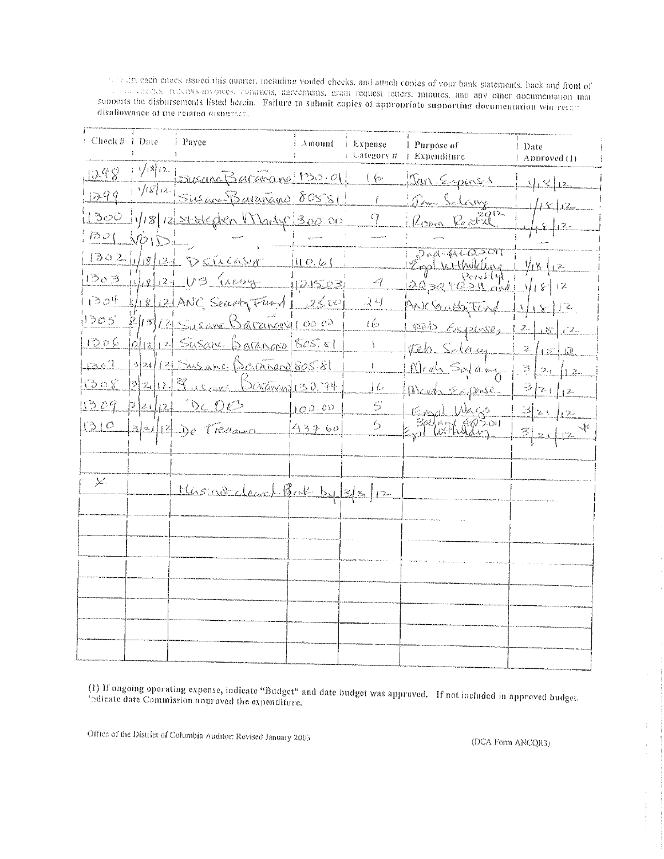subtracture and the state of this quarter, including voided checks, and attach copies of your bank statements, back and front of and the case of the contracts, agreements, grant request inters. minutes, and any other documentation that supports the disbursements listed herein. Failure to submit copies of appropriate supporting documentation with resumed disallowance of the related dishavior.

| Check # 1 Date       | i Pavee                                                              | i Amount. | i Expense<br>⊢ Uategory # | 1 Purpose of<br>Expenditure    | l Date<br>  Approved (1) |
|----------------------|----------------------------------------------------------------------|-----------|---------------------------|--------------------------------|--------------------------|
|                      | $\frac{1298}{1299}$ $\frac{y^{18}(2)}{2}$ Suscinc Baramagno (130.01) |           | しん                        | <u> Dan Espines</u>            | $\frac{\sqrt{2}}{2}$     |
|                      |                                                                      |           | ť                         | <u> Pau Salavy</u>             | 18/12                    |
|                      | 1300 1/18/12/storegion Warty 300.00                                  |           | 9                         | Room Report                    |                          |
| $\frac{1}{100}$      |                                                                      |           |                           |                                |                          |
|                      | 13021/18/1210551                                                     |           |                           | $304-4462201$<br>Eigel Withday | <u>i 1/18   2.</u>       |
|                      | $1203 - 122 - 03$ (resor 121503)                                     |           | -9                        | 1003240310x11/1812             |                          |
|                      | $1304$ 4/18/12/ANC Search $74/12500$                                 |           | 24                        | $MSE$ cast tind $1/18/12$      |                          |
|                      | $1305$ $2/15/2$ Sysam Baranovico 00                                  |           | 16s                       | 1866 Esperant 12/15/12         |                          |
|                      | 1206 0/18/12 Susance Barango (805.81                                 |           | ł.                        | teb Sdaug                      | 2  15   12               |
| $\ln 2$ c $\sqrt{1}$ | 13/21/12/ Susanc Bertang 80581                                       |           | $\{$                      | Med Sylang - 3/21/12           |                          |
|                      | 1308 32/12 9 10000 Davaman 130,74                                    |           | $\frac{1}{2}$             | Devel Expose                   | $\frac{3}{2}$ [2+]       |
|                      | $1309$ $3242$ DC $05$                                                | 10000     | 5                         | Empl Wags                      | $\frac{3}{2}$ 21/2       |
|                      | $1310$ $3442$ $26$ $722$                                             | 43760     | $\epsilon_{\rm S}$        | Entre 72 Contractor            | 3212                     |
|                      |                                                                      |           |                           |                                |                          |
| Ÿ.                   |                                                                      |           |                           |                                |                          |
|                      | Missourclacal But by 3/3/12                                          |           |                           |                                |                          |
|                      |                                                                      |           |                           |                                |                          |
|                      |                                                                      |           |                           |                                |                          |
|                      |                                                                      |           |                           |                                |                          |
|                      |                                                                      |           |                           |                                |                          |
|                      |                                                                      |           |                           |                                |                          |
|                      |                                                                      |           |                           |                                |                          |
|                      |                                                                      |           |                           |                                |                          |
|                      |                                                                      |           |                           |                                |                          |

(1) If ongoing operating expense, indicate "Budget" and date budget was approved. If not included in approved budget. indicate date Commission approved the expenditure.

Office of the District of Columbia Auditor: Revised January 2005

(DCA Form ANCOR3)

Ť

 $\frac{1}{2}$